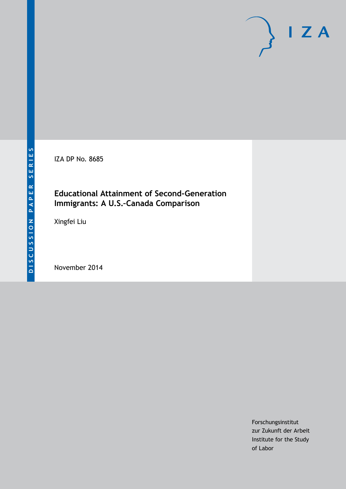IZA DP No. 8685

# **Educational Attainment of Second-Generation Immigrants: A U.S.–Canada Comparison**

Xingfei Liu

November 2014

Forschungsinstitut zur Zukunft der Arbeit Institute for the Study of Labor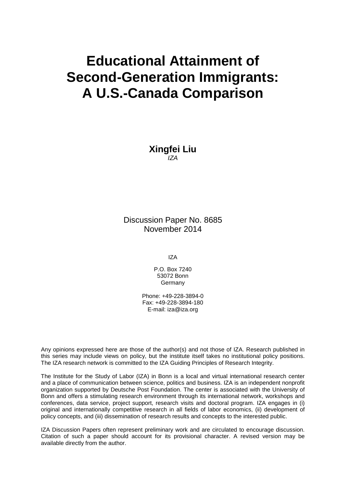# **Educational Attainment of Second-Generation Immigrants: A U.S.-Canada Comparison**

**Xingfei Liu** *IZA*

Discussion Paper No. 8685 November 2014

IZA

P.O. Box 7240 53072 Bonn **Germany** 

Phone: +49-228-3894-0 Fax: +49-228-3894-180 E-mail: [iza@iza.org](mailto:iza@iza.org)

Any opinions expressed here are those of the author(s) and not those of IZA. Research published in this series may include views on policy, but the institute itself takes no institutional policy positions. The IZA research network is committed to the IZA Guiding Principles of Research Integrity.

The Institute for the Study of Labor (IZA) in Bonn is a local and virtual international research center and a place of communication between science, politics and business. IZA is an independent nonprofit organization supported by Deutsche Post Foundation. The center is associated with the University of Bonn and offers a stimulating research environment through its international network, workshops and conferences, data service, project support, research visits and doctoral program. IZA engages in (i) original and internationally competitive research in all fields of labor economics, (ii) development of policy concepts, and (iii) dissemination of research results and concepts to the interested public.

IZA Discussion Papers often represent preliminary work and are circulated to encourage discussion. Citation of such a paper should account for its provisional character. A revised version may be available directly from the author.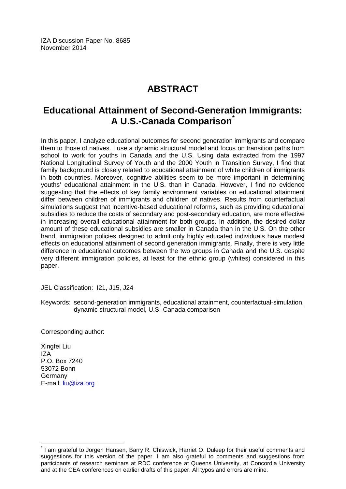IZA Discussion Paper No. 8685 November 2014

# **ABSTRACT**

# **Educational Attainment of Second-Generation Immigrants: A U.S.-Canada Comparison[\\*](#page-2-0)**

In this paper, I analyze educational outcomes for second generation immigrants and compare them to those of natives. I use a dynamic structural model and focus on transition paths from school to work for youths in Canada and the U.S. Using data extracted from the 1997 National Longitudinal Survey of Youth and the 2000 Youth in Transition Survey, I find that family background is closely related to educational attainment of white children of immigrants in both countries. Moreover, cognitive abilities seem to be more important in determining youths' educational attainment in the U.S. than in Canada. However, I find no evidence suggesting that the effects of key family environment variables on educational attainment differ between children of immigrants and children of natives. Results from counterfactual simulations suggest that incentive-based educational reforms, such as providing educational subsidies to reduce the costs of secondary and post-secondary education, are more effective in increasing overall educational attainment for both groups. In addition, the desired dollar amount of these educational subsidies are smaller in Canada than in the U.S. On the other hand, immigration policies designed to admit only highly educated individuals have modest effects on educational attainment of second generation immigrants. Finally, there is very little difference in educational outcomes between the two groups in Canada and the U.S. despite very different immigration policies, at least for the ethnic group (whites) considered in this paper.

JEL Classification: I21, J15, J24

Keywords: second-generation immigrants, educational attainment, counterfactual-simulation, dynamic structural model, U.S.-Canada comparison

Corresponding author:

Xingfei Liu IZA P.O. Box 7240 53072 Bonn Germany E-mail: [liu@iza.org](mailto:liu@iza.org)

<span id="page-2-0"></span>\* I am grateful to Jorgen Hansen, Barry R. Chiswick, Harriet O. Duleep for their useful comments and suggestions for this version of the paper. I am also grateful to comments and suggestions from participants of research seminars at RDC conference at Queens University, at Concordia University and at the CEA conferences on earlier drafts of this paper. All typos and errors are mine.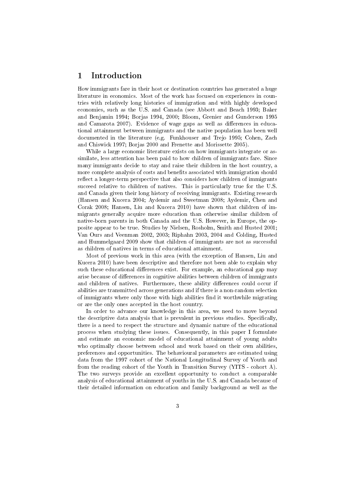# 1 Introduction

How immigrants fare in their host or destination countries has generated a huge literature in economics. Most of the work has focused on experiences in countries with relatively long histories of immigration and with highly developed economies, such as the U.S. and Canada (see Abbott and Beach 1993; Baker and Benjamin 1994; Borjas 1994, 2000; Bloom, Grenier and Gunderson 1995 and Camarota 2007). Evidence of wage gaps as well as differences in educational attainment between immigrants and the native population has been well documented in the literature (e.g. Funkhouser and Trejo 1995; Cohen, Zach and Chiswick 1997; Borjas 2000 and Frenette and Morissette 2005).

While a large economic literature exists on how immigrants integrate or assimilate, less attention has been paid to how children of immigrants fare. Since many immigrants decide to stay and raise their children in the host country, a more complete analysis of costs and benefits associated with immigration should reflect a longer-term perspective that also considers how children of immigrants succeed relative to children of natives. This is particularly true for the U.S. and Canada given their long history of receiving immigrants. Existing research (Hansen and Kucera 2004; Aydemir and Sweetman 2008; Aydemir, Chen and Corak 2008; Hansen, Liu and Kucera 2010) have shown that children of immigrants generally acquire more education than otherwise similar children of native-born parents in both Canada and the U.S. However, in Europe, the opposite appear to be true. Studies by Nielsen, Rosholm, Smith and Husted 2001; Van Ours and Veenman 2002, 2003; Riphahn 2003, 2004 and Colding, Husted and Hummelgaard 2009 show that children of immigrants are not as successful as children of natives in terms of educational attainment.

Most of previous work in this area (with the exception of Hansen, Liu and Kucera 2010) have been descriptive and therefore not been able to explain why such these educational differences exist. For example, an educational gap may arise because of differences in cognitive abilities between children of immigrants and children of natives. Furthermore, these ability differences could occur if abilities are transmitted across generations and if there is a non-random selection of immigrants where only those with high abilities find it worthwhile migrating or are the only ones accepted in the host country.

In order to advance our knowledge in this area, we need to move beyond the descriptive data analysis that is prevalent in previous studies. Specifically, there is a need to respect the structure and dynamic nature of the educational process when studying these issues. Consequently, in this paper I formulate and estimate an economic model of educational attainment of young adults who optimally choose between school and work based on their own abilities, preferences and opportunities. The behavioural parameters are estimated using data from the 1997 cohort of the National Longitudinal Survey of Youth and from the reading cohort of the Youth in Transition Survey (YITS - cohort A). The two surveys provide an excellent opportunity to conduct a comparable analysis of educational attainment of youths in the U.S. and Canada because of their detailed information on education and family background as well as the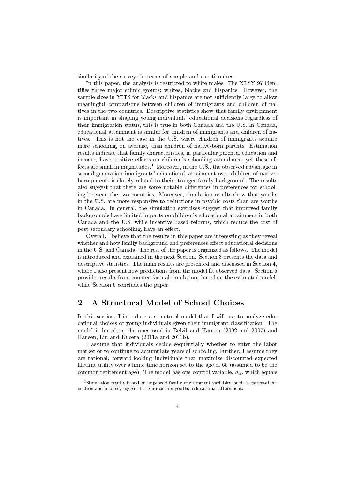similarity of the surveys in terms of sample and questionaires.

In this paper, the analysis is restricted to white males. The NLSY 97 identifies three major ethnic groups; whites, blacks and hispanics. However, the sample sizes in YITS for blacks and hispanics are not sufficiently large to allow meaningful comparisons between children of immigrants and children of natives in the two countries. Descriptive statistics show that family environment is important in shaping young individuals' educational decisions regardless of their immigration status, this is true in both Canada and the U.S. In Canada, educational attainment is similar for children of immigrants and children of natives. This is not the case in the U.S. where children of immigrants acquire more schooling, on average, than children of native-born parents. Estimation results indicate that family characteristics, in particular parental education and income, have positive effects on children's schooling attendance, yet these effects are small in magnitudes.<sup>1</sup> Moreover, in the U.S., the observed advantage in second-generation immigrants' educational attainment over children of nativeborn parents is closely related to their stronger family background. The results also suggest that there are some notable differences in preferences for schooling between the two countries. Moreover, simulation results show that youths in the U.S. are more responsive to reductions in psychic costs than are youths in Canada. In general, the simulation exercises suggest that improved family backgrounds have limited impacts on children's educational attainment in both Canada and the U.S. while incentive-based reforms, which reduce the cost of post-secondary schooling, have an effect.

Overall, I believe that the results in this paper are interesting as they reveal whether and how family background and preferences affect educational decisions in the U.S. and Canada. The rest of the paper is organized as follows. The model is introduced and explained in the next Section. Section 3 presents the data and descriptive statistics. The main results are presented and discussed in Section 4, where I also present how predictions from the model fit observed data. Section  $5$ provides results from counter-factual simulations based on the estimated model, while Section 6 concludes the paper.

# 2 A Structural Model of School Choices

In this section, I introduce a structural model that I will use to analyze educational choices of young individuals given their immigrant classification. The model is based on the ones used in Belzil and Hansen (2002 and 2007) and Hansen, Liu and Kucera (2011a and 2011b).

I assume that individuals decide sequentially whether to enter the labor market or to continue to accumulate years of schooling. Further, I assume they are rational, forward-looking individuals that maximize discounted expected lifetime utility over a finite time horizon set to the age of 65 (assumed to be the common retirement age). The model has one control variable,  $d_{it}$ , which equals

<sup>&</sup>lt;sup>1</sup>Simulation results based on improved family environment variables, such as parental education and income, suggest little impact on youths' educational attainment.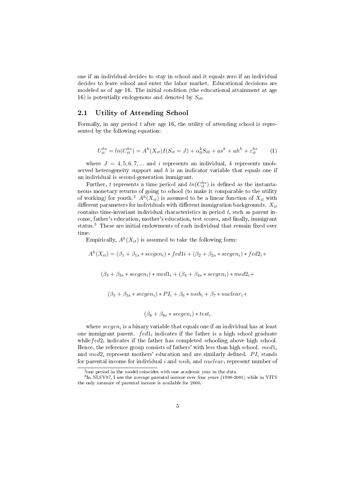one if an individual decides to stay in school and it equals zero if an individual decides to leave school and enter the labor market. Educational decisions are modeled as of age 16. The initial condition (the educational attainment at age 16) is potentially endogenous and denoted by  $S_{i0}$ .

# 2.1 Utility of Attending School

Formally, in any period  $t$  after age 16, the utility of attending school is represented by the following equation:

$$
U_{it}^{hs} = ln(C_{it}^{hs}) = A^{h}(X_{it})I(S_{it} = J) + \alpha_0^k S_{i0} + a s^k + uh^h + \varepsilon_{it}^{hs}
$$
 (1)

where  $J = 4, 5, 6, 7, \dots$  and i represents an individual, k represents unobserved heterogeneity support and  $h$  is an indicator variable that equals one if an individual is second-generation immigrant.

Further, t represents a time period and  $ln(C_{it}^{hs})$  is defined as the instantaneous monetary returns of going to school (to make it comparable to the utility of working) for youth.<sup>2</sup>  $A^h(X_{it})$  is assumed to be a linear function of  $X_{it}$  with different parameters for individuals with different immigration backgrounds.  $X_{it}$ contains time-invariant individual characteristics in period  $t$ , such as parent income, father's education, mother's education, test scores, and finally, immigrant status.<sup>3</sup> These are initial endowments of each individual that remain fixed over time.

Empirically,  $A^h(X_{it})$  is assumed to take the following form:

 $A^{h}(X_{it}) = (\beta_1 + \beta_{1s} * secgen_i) * fed1i + (\beta_2 + \beta_{2s} * secgen_i) * fed2_i +$ 

 $(\beta_3 + \beta_{3s} * secgen_i) * med1_i + (\beta_4 + \beta_{4s} * secgen_i) * med2_i +$ 

 $(\beta_5 + \beta_{5s} * secgen_i) * PI_i + \beta_6 * nsib_i + \beta_7 * nuclear_i +$ 

$$
(\beta_8 + \beta_{8s} * secgen_i) * test_i
$$

where  $\secgen_i$  is a binary variable that equals one if an individual has at least one immigrant parent.  $fed1<sub>i</sub>$  indicates if the father is a high school graduate while  $\text{f}ed2_i$  indicates if the father has completed schooling above high school. Hence, the reference group consists of fathers' with less than high school.  $med1<sub>i</sub>$ and  $med2<sub>i</sub>$  represent mothers' education and are similarly defined.  $PI<sub>i</sub>$  stands for parental income for individual i and nsib<sub>i</sub> and nuclear<sub>i</sub> represent number of

<sup>&</sup>lt;sup>2</sup> one period in the model coincides with one academic year in the data

<sup>3</sup> In NLSY97, I use the average parental income over four years (1998-2001) while in YITS the only measure of parental income is available for 2000.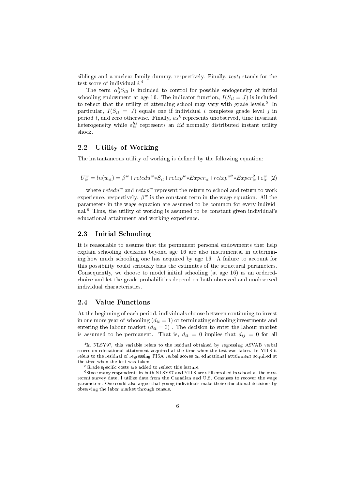siblings and a nuclear family dummy, respectively. Finally,  $test_i$  stands for the test score of individual  $i^4$ 

The term  $\alpha_0^k S_{i0}$  is included to control for possible endogeneity of initial schooling endowment at age 16. The indicator function,  $I(S_{it} = J)$  is included to reflect that the utility of attending school may vary with grade levels.<sup>5</sup> In particular,  $I(S_{it} = J)$  equals one if individual i completes grade level j in period t, and zero otherwise. Finally,  $as<sup>k</sup>$  represents unobserved, time invariant heterogeneity while  $\varepsilon_{it}^{hs}$  represents an *iid* normally distributed instant utility shock.

#### 2.2 Utility of Working

The instantaneous utility of working is defined by the following equation:

$$
U_{it}^{w} = ln(w_{it}) = \beta^{w} + retedu^{w} * S_{it} + retxp^{w} * Exper_{it} + retxp^{w2} * Exper_{it}^{2} + \varepsilon_{it}^{w} (2)
$$

where  $retedu^w$  and  $retxp^w$  represent the return to school and return to work experience, respectively.  $\beta^w$  is the constant term in the wage equation. All the parameters in the wage equation are assumed to be common for every individual.<sup>6</sup> Thus, the utility of working is assumed to be constant given individual's educational attainment and working experience.

#### 2.3 Initial Schooling

It is reasonable to assume that the permanent personal endowments that help explain schooling decisions beyond age 16 are also instrumental in determining how much schooling one has acquired by age 16. A failure to account for this possibility could seriously bias the estimates of the structural parameters. Consequently, we choose to model initial schooling (at age 16) as an orderedchoice and let the grade probabilities depend on both observed and unobserved individual characteristics.

#### 2.4 Value Functions

At the beginning of each period, individuals choose between continuing to invest in one more year of schooling  $(d_{it} = 1)$  or terminating schooling investments and entering the labour market  $(d_{it} = 0)$ . The decision to enter the labour market is assumed to be permanent. That is,  $d_{it} = 0$  implies that  $d_{ij} = 0$  for all

<sup>&</sup>lt;sup>4</sup>In NLSY97, this variable refers to the residual obtained by regressing ASVAB verbal scores on educational attainment acquired at the time when the test was taken. In YITS it refers to the residual of regressing PISA verbal scores on educational attainment acquired at the time when the test was taken.

 $5G$ rade specific costs are added to reflect this feature.

<sup>6</sup>Since many respondents in both NLSY97 and YITS are still enrolled in school at the most recent survey date, I utilize data from the Canadian and U.S. Censuses to recover the wage parameters. One could also argue that young individuals make their educational decisions by observing the labor market through census.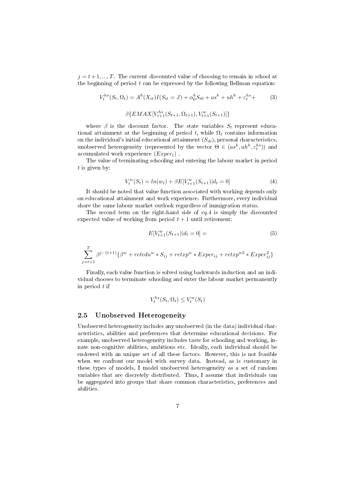$j = t + 1, ..., T$ . The current discounted value of choosing to remain in school at the beginning of period  $t$  can be expressed by the following Bellman equation:

$$
V_t^{hs}(S_t, \Omega_t) = A^h(X_{it})I(S_{it} = J) + \alpha_0^k S_{i0} + a s^k + u h^h + \varepsilon_t^{hs} +
$$
  
(3)  

$$
\beta \{ EMAX[V_{t+1}^{hs}(S_{t+1}, \Omega_{t+1}), V_{t+1}^w(S_{t+1})]\}
$$

where  $\beta$  is the discount factor. The state variables  $S_t$  represent educational attainment at the beginning of period t, while  $\Omega_t$  contains information on the individual's initial educational attainment  $(S_{i0})$ , personal characteristics, unobserved heterogeneity (represented by the vector  $\Theta \in (as^k, uh^h, \varepsilon_t^{hs})$ ) and accumulated work experience  $(Expert)$ .

The value of terminating schooling and entering the labour market in period  $t$  is given by:

$$
V_t^w(S_t) = \ln(w_t) + \beta E[V_{t+1}^w(S_{t+1})|d_t = 0]
$$
\n(4)

It should be noted that value function associated with working depends only on educational attainment and work experience. Furthermore, every individual share the same labour market outlook regardless of immigration status.

The second term on the right-hand side of  $eq.4$  is simply the discounted expected value of working from period  $t + 1$  until retirement:

$$
E[V_{t+1}^w(S_{t+1})|d_t = 0] = \tag{5}
$$

$$
\sum_{j=t+1}^{T}\beta^{j-(t+1)}\{\beta^{w}+retedu^{w}*S_{ij}+retxp^{w}*Exper_{ij}+retxp^{w2}*Exper_{ij}^{2}\}
$$

Finally, each value function is solved using backwards induction and an individual chooses to terminate schooling and enter the labour market permanently in period  $t$  if

$$
V_t^{hs}(S_t, \Omega_t) \le V_t^w(S_t)
$$

#### 2.5 Unobserved Heterogeneity

Unobserved heterogeneity includes any unobserved (in the data) individual characteristics, abilities and preferences that determine educational decisions. For example, unobserved heterogeneity includes taste for schooling and working, innate non-cognitive abilities, ambitions etc. Ideally, each individual should be endowed with an unique set of all these factors. However, this is not feasible when we confront our model with survey data. Instead, as is customary in these types of models, I model unobserved heterogeneity as a set of random variables that are discretely distributed. Thus, I assume that individuals can be aggregated into groups that share common characteristics, preferences and abilities.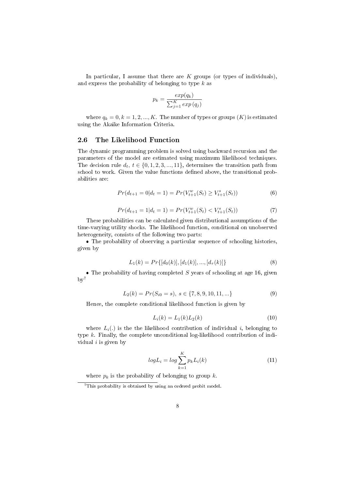In particular, I assume that there are  $K$  groups (or types of individuals), and express the probability of belonging to type  $k$  as

$$
p_k = \frac{exp(q_k)}{\sum_{j=1}^{K} exp(q_j)}
$$

where  $q_k = 0, k = 1, 2, ..., K$ . The number of types or groups  $(K)$  is estimated using the Akaike Information Criteria.

#### 2.6 The Likelihood Function

The dynamic programming problem is solved using backward recursion and the parameters of the model are estimated using maximum likelihood techniques. The decision rule  $d_t$ ,  $t \in \{0, 1, 2, 3, ..., 11\}$ , determines the transition path from school to work. Given the value functions defined above, the transitional probabilities are:

$$
Pr(d_{t+1} = 0|d_t = 1) = Pr(V_{t+1}^w(S_t) \ge V_{t+1}^s(S_t))
$$
\n(6)

$$
Pr(d_{t+1} = 1 | d_t = 1) = Pr(V_{t+1}^w(S_t) < V_{t+1}^s(S_t))
$$
\n<sup>(7)</sup>

These probabilities can be calculated given distributional assumptions of the time-varying utility shocks. The likelihood function, conditional on unobserved heterogeneity, consists of the following two parts:

• The probability of observing a particular sequence of schooling histories, given by

$$
L_1(k) = Pr\{[d_0(k)], [d_1(k)], ..., [d_\tau(k)]\}
$$
\n(8)

• The probability of having completed  $S$  years of schooling at age 16, given  $by<sup>7</sup>$ 

$$
L_2(k) = Pr(S_{i0} = s), \ s \in \{7, 8, 9, 10, 11, \ldots\}
$$
 (9)

Hence, the complete conditional likelihood function is given by

$$
L_i(k) = L_1(k)L_2(k)
$$
\n(10)

where  $L_i(.)$  is the the likelihood contribution of individual i, belonging to type k. Finally, the complete unconditional log-likelihood contribution of individual  $i$  is given by

$$
logL_i = log\sum_{k=1}^{K} p_k L_i(k)
$$
\n(11)

where  $p_k$  is the probability of belonging to group k.

<sup>&</sup>lt;sup>7</sup>This probability is obtained by using an ordered probit model.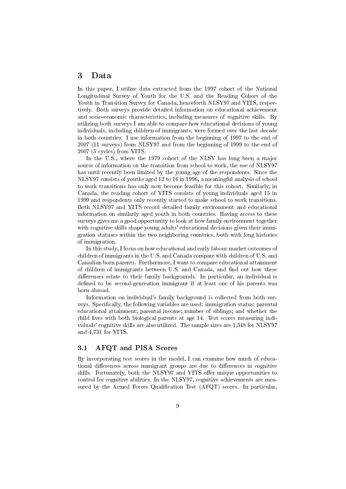#### 3 Data

In this paper, I utilize data extracted from the 1997 cohort of the National Longitudinal Survey of Youth for the U.S. and the Reading Cohort of the Youth in Transition Survey for Canada, henceforth NLSY97 and YITS, respectively. Both surveys provide detailed information on educational achievement and socio-economic characteristics, including measures of cognitive skills. By utilizing both surveys I am able to compare how educational decisions of young individuals, including children of immigrants, were formed over the last decade in both countries. I use information from the beginning of 1997 to the end of 2007 (11 surveys) from NLSY97 and from the beginning of 1999 to the end of 2007 (5 cycles) from YITS.

In the U.S., where the 1979 cohort of the NLSY has long been a major source of information on the transition from school to work, the use of NLSY97 has until recently been limited by the young age of the respondents. Since the NLSY97 consists of youths aged 12 to 16 in 1996, a meaningful analysis of school to work transitions has only now become feasible for this cohort. Similarly, in Canada, the reading cohort of YITS consists of young individuals aged 15 in 1999 and respondents only recently started to make school to work transitions. Both NLSY97 and YITS record detailed family environment and educational information on similarly aged youth in both countries. Having access to these surveys gives me a good opportunity to look at how family environment together with cognitive skills shape young adults' educational decisions given their immigration statuses within the two neighboring countries, both with long histories of immigration.

In this study, I focus on how educational and early labour market outcomes of children of immigrants in the U.S. and Canada compare with children of U.S. and Canadian born parents. Furthermore, I want to compare educational attainment of children of immigrants between U.S. and Canada, and find out how these differences relate to their family backgrounds. In particular, an individual is defined to be second-genreation immigrant if at least one of his parents was born abroad.

Information on individual's family background is collected from both surveys. Specifically, the following variables are used: immigration status; parental educational attainment; parental income; number of siblings; and whether the child lives with both biological parents at age 14. Test scores measuring individuals' cognitive skills are also utilized. The sample sizes are 1,348 for NLSY97 and 4,731 for YITS.

#### 3.1 AFQT and PISA Scores

By incorporating test scores in the model, I can examine how much of educational differences across immigrant groups are due to differences in cognitive skills. Fortunately, both the NLSY97 and YITS offer unique opportunities to control for cognitive abilities. In the NLSY97, cognitive achievements are measured by the Armed Forces Qualification Test (AFQT) scores. In particular,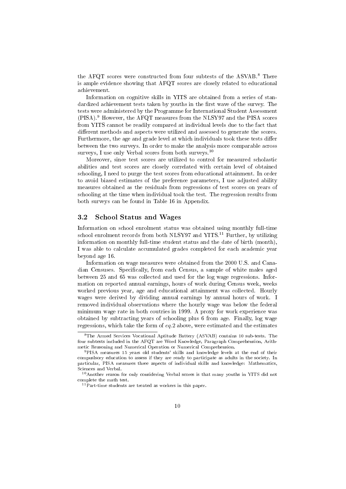the AFQT scores were constructed from four subtests of the ASVAB.<sup>8</sup> There is ample evidence showing that AFQT scores are closely related to educational achievement.

Information on cognitive skills in YITS are obtained from a series of standardized achievement tests taken by youths in the first wave of the survey. The tests were administered by the Programme for International Student Assessment (PISA).<sup>9</sup> However, the AFQT measures from the NLSY97 and the PISA scores from YITS cannot be readily compared at individual levels due to the fact that different methods and aspects were utilized and assessed to generate the scores. Furthermore, the age and grade level at which individuals took these tests differ between the two surveys. In order to make the analysis more comparable across surveys, I use only Verbal scores from both surveys.<sup>10</sup>

Moreover, since test scores are utilized to control for measured scholastic abilities and test scores are closely correlated with certain level of obtained schooling, I need to purge the test scores from educational attainment. In order to avoid biased estimates of the preference parameters, I use adjusted ability measures obtained as the residuals from regressions of test scores on years of schooling at the time when individual took the test. The regression results from both surveys can be found in Table 16 in Appendix.

#### 3.2 School Status and Wages

Information on school enrolment status was obtained using monthly full-time school enrolment records from both NLSY97 and YITS.<sup>11</sup> Further, by utilizing information on monthly full-time student status and the date of birth (month), I was able to calculate accumulated grades completed for each academic year beyond age 16.

Information on wage measures were obtained from the 2000 U.S. and Canadian Censuses. Specifically, from each Census, a sample of white males aged between 25 and 65 was collected and used for the log wage regressions. Information on reported annual earnings, hours of work during Census week, weeks worked previous year, age and educational attainment was collected. Hourly wages were derived by dividing annual earnings by annual hours of work. I removed individual observations where the hourly wage was below the federal minimum wage rate in both coutries in 1999. A proxy for work experience was obtained by subtracting years of schooling plus 6 from age. Finally, log wage regressions, which take the form of eq.2 above, were estimated and the estimates

<sup>8</sup>The Armed Services Vocational Aptitude Battery (ASVAB) contains 10 sub-tests. The four subtests included in the AFQT are Word Knowledge, Paragraph Comprehension, Arithmetic Reasoning and Numerical Operation or Numerical Comprehension.

<sup>9</sup>PISA measures 15 years old students' skills and knowledge levels at the end of their compuslsory education to assess if they are ready to participate as adults in the society. In particular, PISA measures three aspects of individual skills and knowledge: Mathematics, Sciences and Verbal.

<sup>10</sup>Another reason for only considering Verbal scores is that many youths in YITS did not complete the math test.

<sup>&</sup>lt;sup>11</sup> Part-time students are treated as workers in this paper.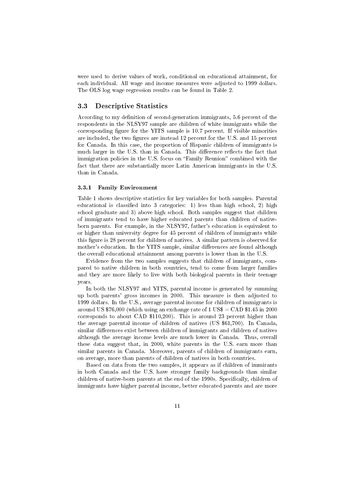were used to derive values of work, conditional on educational attainment, for each individual. All wage and income measures were adjusted to 1999 dollars. The OLS log wage regression results can be found in Table 2.

#### 3.3 Descriptive Statistics

According to my definition of second-generation immigrants, 5.6 percent of the respondents in the NLSY97 sample are children of white immigrants while the corresponding figure for the YITS sample is  $10.7$  percent. If visible minorities are included, the two figures are instead 12 percent for the U.S. and 15 percent for Canada. In this case, the proportion of Hispanic children of immigrants is much larger in the U.S. than in Canada. This difference reflects the fact that immigration policies in the U.S. focus on "Family Reunion" combined with the fact that there are substantially more Latin American immigrants in the U.S. than in Canada.

#### 3.3.1 Family Environment

Table 1 shows descriptive statistics for key variables for both samples. Parental educational is classified into 3 categories: 1) less than high school, 2) high school graduate and 3) above high school. Both samples suggest that children of immigrants tend to have higher educated parents than children of nativeborn parents. For example, in the NLSY97, father's education is equivalent to or higher than university degree for 45 percent of children of immigrants while this figure is 28 percent for children of natives. A similar pattern is observed for mother's education. In the YITS sample, similar differences are found although the overall educational attainment among parents is lower than in the U.S.

Evidence from the two samples suggests that children of immigrants, compared to native children in both countries, tend to come from larger families and they are more likely to live with both biological parents in their teenage years.

In both the NLSY97 and YITS, parental income is generated by summing up both parents' gross incomes in 2000. This measure is then adjusted to 1999 dollars. In the U.S., average parental income for children of immigrants is around US \$76,000 (which using an exchange rate of  $1 \text{ US}\$ = \text{CAD } $1.45 \text{ in } 2000$ corresponds to about CAD \$110,200). This is around 23 percent higher than the average parental income of children of natives (US \$61,700). In Canada, similar differences exist between children of immigrants and children of natives although the average income levels are much lower in Canada. Thus, overall these data suggest that, in 2000, white parents in the U.S. earn more than similar parents in Canada. Moreover, parents of children of immigrants earn, on average, more than parents of children of natives in both countries.

Based on data from the two samples, it appears as if children of immirants in both Canada and the U.S. have stronger family backgrounds than similar children of native-born parents at the end of the 1990s. Specifically, children of immigrants have higher parental income, better educated parents and are more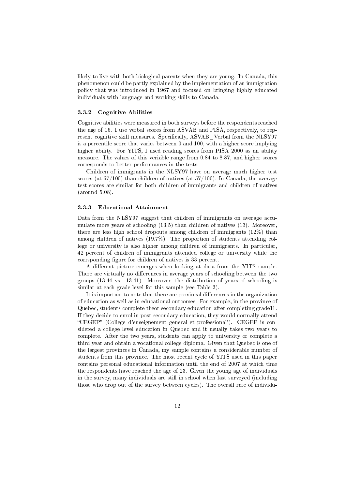likely to live with both biological parents when they are young. In Canada, this phenomenon could be partly explained by the implementation of an immigration policy that was introduced in 1967 and focused on bringing highly educated individuals with language and working skills to Canada.

#### 3.3.2 Cognitive Abilities

Cognitive abilities were measured in both surveys before the respondents reached the age of 16. I use verbal scores from ASVAB and PISA, respectively, to represent cognitive skill measures. Specifically, ASVAB Verbal from the NLSY97 is a percentile score that varies between 0 and 100, with a higher score implying higher ability. For YITS, I used reading scores from PISA 2000 as an ability measure. The values of this veriable range from 0.84 to 8.87, and higher scores corresponds to better performances in the tests.

Children of immigrants in the NLSY97 have on average much higher test scores (at  $67/100$ ) than children of natives (at  $57/100$ ). In Canada, the average test scores are similar for both children of immigrants and children of natives (around 5.08).

#### 3.3.3 Educational Attainment

Data from the NLSY97 suggest that children of immigrants on average accumulate more years of schooling (13.5) than children of natives (13). Moreover, there are less high school dropouts among children of immigrants (12%) than among children of natives (19.7%). The proportion of students attending college or university is also higher among children of immigrants. In particular, 42 percent of children of immigrants attended college or university while the corrsponding figure for children of natives is 33 percent.

A different picture emerges when looking at data from the YITS sample. There are virtually no differences in average years of schooling between the two groups (13.44 vs. 13.41). Moreover, the distribution of years of schooling is similar at each grade level for this sample (see Table 3).

It is important to note that there are provincal differences in the organization of education as well as in educational outcomes. For example, in the province of Quebec, students complete theor secondary education after completing grade11. If they decide to enrol in post-secondary education, they would normally attend CEGEP (College d'enseignement general et professional'). CEGEP is considered a college level education in Quebec and it usually takes two years to complete. After the two years, students can apply to university or complete a third year and obtain a vocational college diploma. Given that Quebec is one of the largest provinces in Canada, my sample contains a considerable number of students from this province. The most recent cycle of YITS used in this paper contains personal educational information until the end of 2007 at which time the respondents have reached the age of 23. Given the young age of individuals in the survey, many individuals are still in school when last surveyed (including those who drop out of the survey between cycles). The overall rate of individu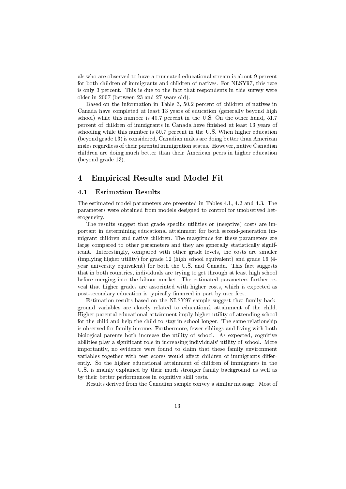als who are observed to have a truncated educational stream is about 9 percent for both children of immigrants and children of natives. For NLSY97, this rate is only 3 percent. This is due to the fact that respondents in this survey were older in 2007 (between 23 and 27 years old).

Based on the information in Table 3, 50.2 percent of children of natives in Canada have completed at least 13 years of education (generally beyond high school) while this number is 40.7 percent in the U.S. On the other hand, 51.7 percent of children of immigrants in Canada have finished at least 13 years of schooling while this number is 50.7 percent in the U.S. When higher education (beyond grade 13) is considered, Canadian males are doing better than American males regardless of their parental immigration status. However, native Canadian children are doing much better than their American peers in higher education (beyond grade 13).

# 4 Empirical Results and Model Fit

#### 4.1 Estimation Results

The estimated model parameters are presented in Tables 4.1, 4.2 and 4.3. The parameters were obtained from models designed to control for unobserved heterogeneity.

The results suggest that grade specific utilities or (negative) costs are important in determining educational attainment for both second-generation immigrant children and native children. The magnitude for these parameters are large compared to other parameters and they are generally statistically significant. Interestingly, compared with other grade levels, the costs are smaller (implying higher utility) for grade 12 (high school equivalent) and grade 16 (4 year university equivalent) for both the U.S. and Canada. This fact suggests that in both countries, individuals are trying to get through at least high school before merging into the labour market. The estimated parameters further reveal that higher grades are associated with higher costs, which is expected as post-secondary education is typically financed in part by user fees.

Estimation results based on the NLSY97 sample suggest that family background variables are closely related to educational attainment of the child. Higher parental educational attainment imply higher utility of attending school for the child and help the child to stay in school longer. The same relationship is observed for family income. Furthermore, fewer siblings and living with both biological parents both increase the utility of school. As expected, cognitive abilities play a significant role in increasing individuals' utility of school. More importantly, no evidence were found to claim that these family environment variables together with test scores would affect children of immigrants differently. So the higher educational attainment of children of immigrants in the U.S. is mainly explained by their much stronger family background as well as by their better performances in cognitive skill tests.

Results derived from the Canadian sample convey a similar message. Most of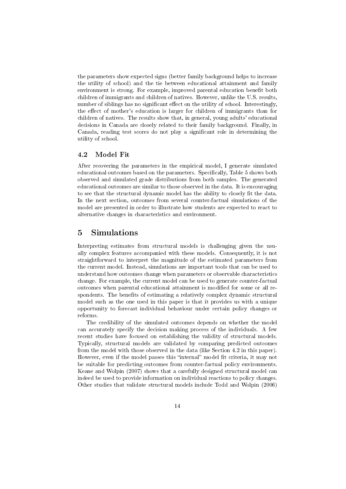the parameters show expected signs (better family background helps to increase the utility of school) and the tie between educational attainment and family environment is strong. For example, improved parental education benefit both children of immigrants and children of natives. However, unlike the U.S. results, number of siblings has no significant effect on the utility of school. Interestingly, the effect of mother's education is larger for children of immigrants than for children of natives. The results show that, in general, young adults' educational decisions in Canada are closely related to their family background. Finally, in Canada, reading test scores do not play a signicant role in determining the utility of school.

#### 4.2 Model Fit

After recovering the parameters in the empirical model, I generate simulated educational outcomes based on the parameters. Specifically, Table 5 shows both observed and simulated grade distributions from both samples. The generated educational outcomes are similar to those observed in the data. It is encouraging to see that the structural dynamic model has the ability to closely fit the data. In the next section, outcomes from several counter-factual simulations of the model are presented in order to illustrate how students are expected to react to alternative changes in characteristics and environment.

# 5 Simulations

Interpreting estimates from structural models is challenging given the usually complex features accompanied with these models. Consequently, it is not straightforward to interpret the magnitude of the estimated parameters from the current model. Instead, simulations are important tools that can be used to understand how outcomes change when parameters or observable characteristics change. For example, the current model can be used to generate counter-factual outcomes when parental educational attainment is modified for some or all respondents. The benefits of estimating a relatively complex dynamic structural model such as the one used in this paper is that it provides us with a unique opportunity to forecast individual behaviour under certain policy changes or reforms.

The credibility of the simulated outcomes depends on whether the model can accurately specify the decision making process of the individuals. A few recent studies have focused on establishing the validity of structural models. Typically, structural models are validated by comparing predicted outcomes from the model with those observed in the data (like Section 4.2 in this paper). However, even if the model passes this "internal" model fit criteria, it may not be suitable for predicting outcomes from counter-factual policy environments. Keane and Wolpin (2007) shows that a carefully designed structural model can indeed be used to provide information on individual reactions to policy changes. Other studies that validate structural models include Todd and Wolpin (2006)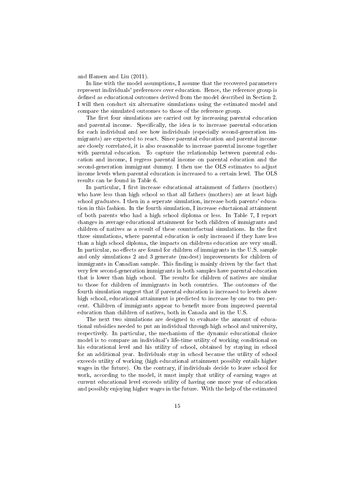and Hansen and Liu (2011).

In line with the model assumptions, I assume that the recovered parameters represent individuals' preferences over education. Hence, the reference group is defined as educational outcomes derived from the model described in Section 2. I will then conduct six alternative simulations using the estimated model and compare the simulated outcomes to those of the reference group.

The first four simulations are carried out by increasing parental education and parental income. Specifically, the idea is to increase parental education for each individual and see how individuals (especially second-generation immigrants) are expected to react. Since parental education and parental income are closely correlated, it is also reasonable to increase parental income together with parental education. To capture the relationship between parental education and income, I regress parental income on parental education and the second-generation immigrant dummy. I then use the OLS estimates to adjust income levels when parental education is increased to a certain level. The OLS results can be found in Table 6.

In particular, I first increase educational attainment of fathers (mothers) who have less than high school so that all fathers (mothers) are at least high school graduates. I then in a seperate simulation, increase both parents' education in this fashion. In the fourth simulation, I increase eductaional attainment of both parents who had a high school diploma or less. In Table 7, I report changes in average educational attainment for both children of immigrants and children of natives as a result of these counterfactual simulations. In the first three simulations, where parental education is only increased if they have less than a high school diploma, the impacts on childrens education are very small. In particular, no effects are found for children of immigrants in the U.S. sample and only simulations 2 and 3 generate (modest) improvements for children of immigrants in Canadian sample. This finding is mainly driven by the fact that very few second-generation immigrants in both samples have parental education that is lower than high school. The results for children of natives are similar to those for children of immigrants in both countries. The outcomes of the fourth simulation suggest that if parental education is increased to levels above high school, educational attainment is predicted to increase by one to two percent. Children of immigrants appear to benefit more from improved parental education than children of natives, both in Canada and in the U.S.

The next two simulations are designed to evaluate the amount of educational subsidies needed to put an individual through high school and university, respectively. In particular, the mechanism of the dynamic educational choice model is to compare an individual's life-time utility of working conditional on his educational level and his utility of school, obtained by staying in school for an additional year. Individuals stay in school because the utility of school exceeds utility of working (high educational attainment possibly entails higher wages in the future). On the contrary, if individuals decide to leave school for work, according to the model, it must imply that utility of earning wages at current educational level exceeds utility of having one more year of education and possibly enjoying higher wages in the future. With the help of the estimated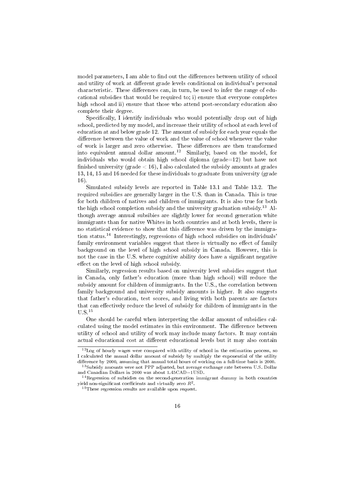model parameters, I am able to find out the differences between utility of school and utility of work at different grade levels conditional on individual's personal characteristic. These differences can, in turn, be used to infer the range of educational subsidies that would be required to; i) ensure that everyone completes high school and ii) ensure that those who attend post-secondary education also complete their degree.

Specifically, I identify individuals who would potentially drop out of high school, predicted by my model, and increase their utility of school at each level of education at and below grade 12. The amount of subsidy for each year equals the difference between the value of work and the value of school whenever the value of work is larger and zero otherwise. These differences are then transformed into equivalent annual dollar amount.<sup>12</sup> Similarly, based on the model, for individuals who would obtain high school diploma ( $\text{grade}=12$ ) but have not finished university (grade  $< 16$ ), I also calculated the subsidy amounts at grades 13, 14, 15 and 16 needed for these individuals to graduate from university (grade 16).

Simulated subsidy levels are reported in Table 13.1 and Table 13.2. The required subsidies are generally larger in the U.S. than in Canada. This is true for both children of natives and children of immigrants. It is also true for both the high school completion subsidy and the university graduation subsidy.<sup>13</sup> Although average annual subsibies are slightly lower for second generation white immigrants than for native Whites in both countries and at both levels, there is no statistical evidence to show that this difference was driven by the immigration status.<sup>14</sup> Interestingly, regressions of high school subsidies on individuals' family environment variables suggest that there is virtually no effect of family background on the level of high school subsidy in Canada. However, this is not the case in the U.S. where cognitive ability does have a significant negative effect on the level of high school subsidy.

Similarly, regression results based on university level subsidies suggest that in Canada, only father's education (more than high school) will reduce the subsidy amount for children of immigrants. In the U.S., the correlation between family background and university subsidy amounts is higher. It also suggests that father's education, test scores, and living with both parents are factors that can effectively reduce the level of subsidy for children of immigrants in the U.S.<sup>15</sup>

One should be careful when interpreting the dollar amount of subsidies calculated using the model estimates in this environment. The difference between utility of school and utility of work may include many factors. It may contain actual educational cost at different educational levels but it may also contain

 $12$  Log of hourly wages were compared with utility of school in the estimation process, so I calculated the annual dollar amount of subsidy by multiply the exponential of the utility difference by 2000, assuming that annual total hours of working on a full-time basis is 2000.

<sup>&</sup>lt;sup>13</sup>Subsidy amounts were not PPP adjusted, but average exchange rate between U.S. Dollar and Canadian Dollars in 2000 was about 1.45CAD=1USD.

<sup>&</sup>lt;sup>14</sup> Regression of subsidies on the second-generation immigrant dummy in both countries yield non-significant coefficients and virtually zero  $R^2.$ 

<sup>&</sup>lt;sup>15</sup>These regression results are available upon request.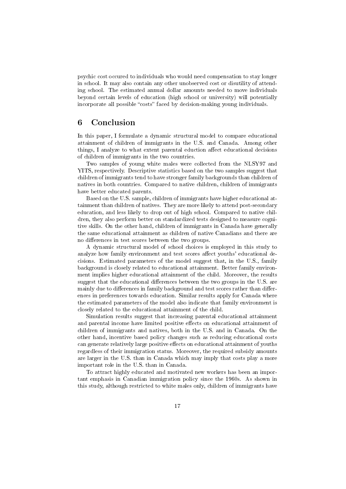psychic cost occured to individuals who would need compensation to stay longer in school. It may also contain any other unobserved cost or disutility of attending school. The estimated annual dollar amounts needed to move individuals beyond certain levels of education (high school or university) will potentially incorporate all possible "costs" faced by decision-making young individuals.

# 6 Conclusion

In this paper, I formulate a dynamic structural model to compare educational attainment of children of immigrants in the U.S. and Canada. Among other things, I analyze to what extent parental eduction affect educational decisions of children of immigrants in the two countries.

Two samples of young white males were collected from the NLSY97 and YITS, respectively. Descriptive statistics based on the two samples suggest that children of immigrants tend to have stronger family backgrounds than children of natives in both countries. Compared to native children, children of immigrants have better educated parents.

Based on the U.S. sample, children of immigrants have higher educational attainment than children of natives. They are more likely to attend post-secondary education, and less likely to drop out of high school. Compared to native children, they also perform better on standardized tests designed to measure cognitive skills. On the other hand, children of immigrants in Canada have generally the same educational attainment as children of native Canadians and there are no differences in test scores between the two groups.

A dynamic structural model of school choices is employed in this study to analyze how family environment and test scores affect youths' educational decisions. Estimated parameters of the model suggest that, in the U.S., family background is closely related to educational attainment. Better family environment implies higher educational attainment of the child. Moreover, the results suggest that the educational differences between the two groups in the U.S. are mainly due to differences in family background and test scores rather than differences in preferences towards education. Similar results apply for Canada where the estimated parameters of the model also indicate that family environment is closely related to the educational attainment of the child.

Simulation results suggest that increasing parental educational attainment and parental income have limited positive effects on educational attainment of children of immigrants and natives, both in the U.S. and in Canada. On the other hand, incentive based policy changes such as reducing educational costs can generate relatively large positive effects on educational attainment of youths regardless of their immigration status. Moreover, the required subsidy amounts are larger in the U.S. than in Canada which may imply that costs play a more important role in the U.S. than in Canada.

To attract highly educated and motivated new workers has been an important emphasis in Canadian immigration policy since the 1960s. As shown in this study, although restricted to white males only, children of immigrants have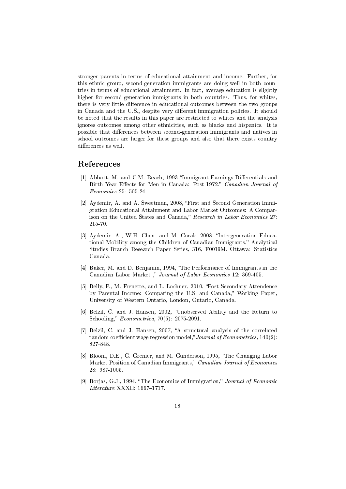stronger parents in terms of educational attainment and income. Further, for this ethnic group, second-generation immigrants are doing well in both countries in terms of educational attainment. In fact, average education is slightly higher for second-generation immigrants in both countries. Thus, for whites, there is very little difference in educational outcomes between the two groups in Canada and the U.S., despite very different immigration policies. It should be noted that the results in this paper are restricted to whites and the analysis ignores outcomes among other ethnicities, such as blacks and hispanics. It is possible that differences between second-generation immigrants and natives in school outcomes are larger for these groups and also that there exists country differences as well.

#### References

- [1] Abbott, M. and C.M. Beach, 1993 "Immigrant Earnings Differentials and Birth Year Effects for Men in Canada: Post-1972." Canadian Journal of Economics 25: 505-24.
- [2] Aydemir, A. and A. Sweetman, 2008, "First and Second Generation Immigration Educational Attainment and Labor Market Outcomes: A Comparison on the United States and Canada," Research in Labor Economics 27: 215-70.
- [3] Aydemir, A., W.H. Chen, and M. Corak, 2008, "Intergeneration Educational Mobility among the Children of Canadian Immigrants," Analytical Studies Branch Research Paper Series, 316, F0019M. Ottawa: Statistics Canada.
- [4] Baker, M. and D. Benjamin, 1994, "The Performance of Immigrants in the Canadian Labor Market," Journal of Labor Economics 12: 369-405.
- [5] Belly, P., M. Frenette, and L. Lochner, 2010, "Post-Secondary Attendence by Parental Income: Comparing the U.S. and Canada," Working Paper. University of Western Ontario, London, Ontario, Canada.
- [6] Belzil, C. and J. Hansen, 2002, "Unobserved Ability and the Return to Schooling,"  $Econometrica$ , 70(5): 2075-2091.
- [7] Belzil, C. and J. Hansen, 2007, "A structural analysis of the correlated random coefficient wage regression model," Journal of Econometrics,  $140(2)$ : 827-848.
- [8] Bloom, D.E., G. Grenier, and M. Gunderson, 1995, "The Changing Labor Market Position of Canadian Immigrants," Canadian Journal of Economics 28: 987-1005.
- [9] Borjas, G.J., 1994, "The Economics of Immigration," *Journal of Economic*  $Literature$  XXXII: 1667-1717.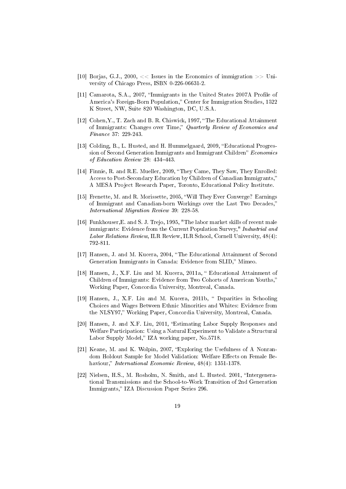- [10] Borjas, G.J., 2000,  $<<$  Issues in the Economics of immigration  $>>$  University of Chicago Press, ISBN 0-226-06631-2.
- [11] Camarota, S.A., 2007, "Immigrants in the United States 2007A Profile of America's Foreign-Born Population," Center for Immigration Studies, 1522 K Street, NW, Suite 820 Washington, DC, U.S.A.
- [12] Cohen, Y., T. Zach and B. R. Chiswick, 1997, "The Educational Attainment of Immigrants: Changes over Time," Quarterly Review of Economics and Finance 37: 229-243.
- [13] Colding, B., L. Husted, and H. Hummelgaard, 2009, "Educational Progression of Second Generation Immigrants and Immigrant Children" Economics of Education Review 28: 434-443.
- [14] Finnie, R. and R.E. Mueller, 2009, "They Came, They Saw, They Enrolled: Access to Post-Secondary Education by Children of Canadian Immigrants, A MESA Project Research Paper, Toronto, Educational Policy Institute.
- [15] Frenette, M. and R. Morissette, 2005, Will They Ever Converge? Earnings of Immigrant and Canadian-born Workings over the Last Two Decades, International Migration Review 39: 228-58.
- [16] Funkhouser,E. and S. J. Trejo, 1995, "The labor market skills of recent male immigrants: Evidence from the Current Population Survey," Industrial and Labor Relations Review, ILR Review, ILR School, Cornell University, 48(4): 792-811.
- [17] Hansen, J. and M. Kucera, 2004, The Educational Attainment of Second Generation Immigrants in Canada: Evidence from SLID," Mimeo.
- [18] Hansen, J., X.F. Liu and M. Kucera, 2011a, " Educational Attainment of Children of Immigrants: Evidence from Two Cohorts of American Youths, Working Paper, Concordia University, Montreal, Canada.
- [19] Hansen, J., X.F. Liu and M. Kucera, 2011b, " Dsparities in Schooling Choices and Wages Between Ethnic Minorities and Whites: Evidence from the NLSY97," Working Paper, Concordia University, Montreal, Canada.
- [20] Hansen, J. and X.F. Liu, 2011, Estimating Labor Supply Responses and Welfare Participation: Using a Natural Experiment to Validate a Structural Labor Supply Model," IZA working paper, No.5718.
- [21] Keane, M. and K. Wolpin, 2007, "Exploring the Usefulness of A Nonrandom Holdout Sample for Model Validation: Welfare Effects on Female Behaviour," *International Economic Review*, 48(4): 1351-1378.
- [22] Nielsen, H.S., M. Rosholm, N. Smith, and L. Husted. 2001. "Intergenerational Transmissions and the School-to-Work Transition of 2nd Generation Immigrants," IZA Discussion Paper Series 296.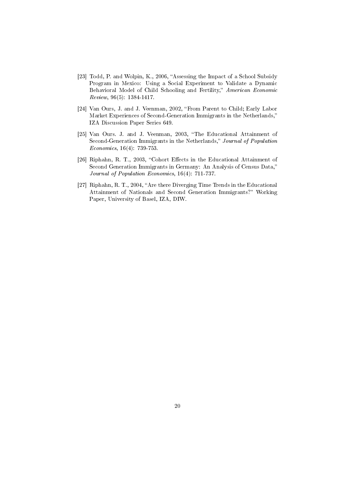- [23] Todd, P. and Wolpin, K., 2006, "Assessing the Impact of a School Subsidy Program in Mexico: Using a Social Experiment to Validate a Dynamic Behavioral Model of Child Schooling and Fertility," American Economic Review, 96(5): 1384-1417.
- [24] Van Ours, J. and J. Veenman, 2002, "From Parent to Child; Early Labor Market Experiences of Second-Generation Immigrants in the Netherlands, IZA Discussion Paper Series 649.
- [25] Van Ours. J. and J. Veenman, 2003, "The Educational Attainment of Second-Generation Immigrants in the Netherlands," Journal of Population Economics, 16(4): 739-753.
- [26] Riphahn, R. T., 2003, "Cohort Effects in the Educational Attainment of Second Generation Immigrants in Germany: An Analysis of Census Data," Journal of Population Economics, 16(4): 711-737.
- [27] Riphahn, R. T., 2004, "Are there Diverging Time Trends in the Educational Attainment of Nationals and Second Generation Immigrants? Working Paper, University of Basel, IZA, DIW.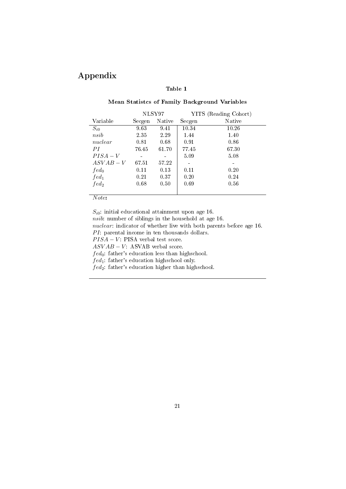# Appendix

### Table 1

#### Mean Statistcs of Family Background Variables

|                  |        | NLSY97 |        | YITS (Reading Cohort) |
|------------------|--------|--------|--------|-----------------------|
| Variable         | Secgen | Native | Secgen | Native                |
| $S_{i0}$         | 9.63   | 9.41   | 10.34  | 10.26                 |
| nsib             | 2.35   | 2.29   | 1.44   | 1.40                  |
| nuclear          | 0.81   | 0.68   | 0.91   | 0.86                  |
| PI               | 76.45  | 61.70  | 77.45  | 67.30                 |
| $PISA-V$         |        |        | 5.09   | 5.08                  |
| $ASVAB-V$        | 67.51  | 57.22  |        |                       |
| $fed_0$          | 0.11   | 0.13   | 0.11   | 0.20                  |
| $fed_1$          | 0.21   | 0.37   | 0.20   | 0.24                  |
| fed <sub>2</sub> | 0.68   | 0.50   | 0.69   | 0.56                  |
|                  |        |        |        |                       |

Note:

 $S_{i0}$ : initial educational attainment upon age 16. nsib: number of siblings in the household at age 16. nuclear: indicator of whether live with both parents before age 16.  $PI:$  parental income in ten thousands dollars.  $PISA - V$ : PISA verbal test score.  $ASVAB - V$ : ASVAB verbal score.  $fed_0$ : father's education less than highschool.  $fed_1$ : father's education highschool only.  $fed_2$ : father's education higher than highschool.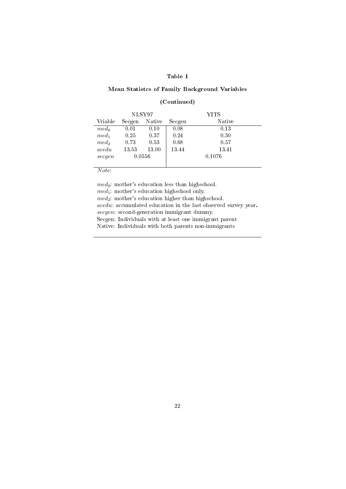#### Mean Statistcs of Family Background Variables

#### (Continued)

|         |        | NLSY97 |        | YITS   |
|---------|--------|--------|--------|--------|
| Vriable | Secgen | Native | Secgen | Native |
| $med_0$ | 0.01   | 0.10   | 0.08   | 0.13   |
| $med_1$ | 0.25   | 0.37   | 0.24   | 0.30   |
| $med_2$ | 0.73   | 0.53   | 0.68   | 0.57   |
| acedu   | 13.53  | 13.00  | 13.44  | 13.41  |
| secqen  |        | 0.0556 |        | 0.1076 |
|         |        |        |        |        |

Note:

 $med_0$ : mother's education less than highschool.  $med_1$ : mother's education highschool only.  $med_2$ : mother's education higher than highschool. acedu: accumulated education in the last observed survey year. secgen: second-generation immigrant dummy. Secgen: Individuals with at least one immigrant parent Native: Individuals with both parents non-immigrants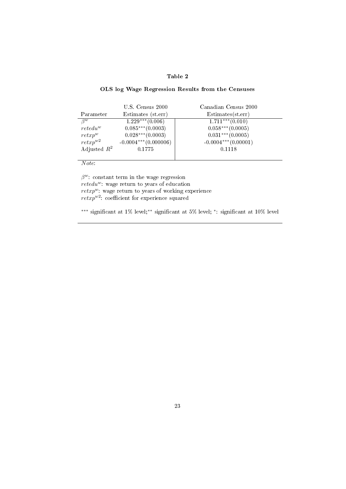#### OLS log Wage Regression Results from the Censuses

|                | $U.S.$ Census $2000$    | Canadian Census 2000   |
|----------------|-------------------------|------------------------|
| Parameter      | Estimates (st.err)      | Estimates (st. err)    |
| $\beta^w$      | $1.229***$ (0.006)      | $1.711***$ (0.010)     |
| $retedu^w$     | $0.085***(0.0003)$      | $0.058***(0.0005)$     |
| $reta_x p^w$   | $0.028***(0.0003)$      | $0.031***$ (0.0005)    |
| $rctxp^{w2}$   | $-0.0004***$ (0.000006) | $-0.0004***$ (0.00001) |
| Adjusted $R^2$ | 0.1775                  | 0.1118                 |
|                |                         |                        |

Note:

 $\beta^w$ : constant term in the wage regression  $r$ etedu<sup>w</sup>: wage return to years of education  $retxp^w$ : wage return to years of working experience  $return<sup>w2</sup>$ : coefficient for experience squared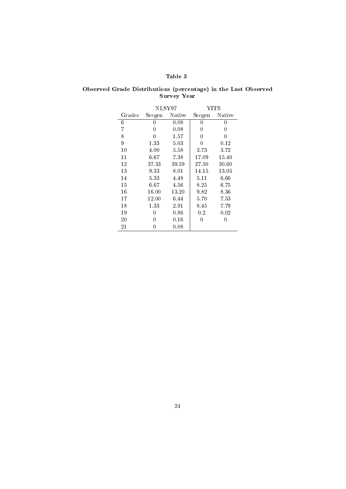| Observed Grade Distributions (percentage) in the Last Observed |             |  |  |  |
|----------------------------------------------------------------|-------------|--|--|--|
|                                                                | Survey Year |  |  |  |

|        | NLSY97 |          | YITS     |        |
|--------|--------|----------|----------|--------|
| Grades | Secgen | Native   | Secgen   | Native |
| 6      | 0      | 0.08     | 0        | 0      |
| 7      | 0      | 0.08     | 0        | 0      |
| 8      | 0      | 1.57     | 0        | 0      |
| 9      | 1.33   | 5.03     | 0        | 0.12   |
| 10     | 4.00   | 5.58     | 3.73     | 3.72   |
| 11     | 6.67   | 7.38     | 17.09    | 15.40  |
| 12     | 37.33  | 39.59    | 27.50    | 30.60  |
| 13     | 9.33   | $8.01\,$ | 14.15    | 13.05  |
| 14     | 5.33   | 4.48     | $5.11\,$ | 6.66   |
| 15     | 6.67   | 4.56     | $8.25\,$ | 6.75   |
| 16     | 16.00  | 13.20    | 9.82     | 8.36   |
| 17     | 12.00  | 6.44     | 5.70     | 7.53   |
| 18     | 1.33   | 2.91     | $8.45\,$ | 7.79   |
| 19     | 0      | $0.86\,$ | 0.2      | 0.02   |
| 20     | O      | $0.16\,$ | 0        | 0      |
| 21     | 0      | 0.08     |          |        |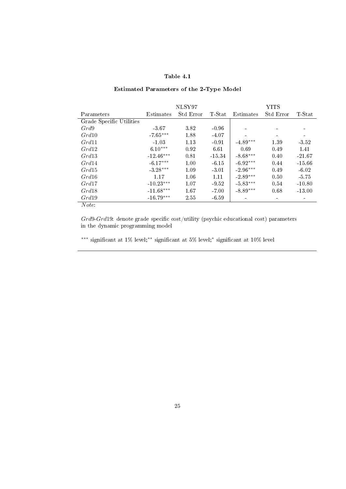# Estimated Parameters of the 2-Type Model

|                          |             | NLSY97    |          |            | <b>YITS</b>              |           |
|--------------------------|-------------|-----------|----------|------------|--------------------------|-----------|
| Parameters               | Estimates   | Std Error | T-Stat   | Estimates  | Std Error                | $T$ -Stat |
| Grade Specific Utilities |             |           |          |            |                          |           |
| Grd9                     | -3.67       | 3.82      | $-0.96$  |            |                          |           |
| Grd10                    | $-7.65***$  | 1.88      | -4.07    |            |                          |           |
| Grd11                    | $-1.03$     | 1.13      | $-0.91$  | $-4.89***$ | 1.39                     | -3.52     |
| Grd12                    | $6.10***$   | 0.92      | 6.61     | 0.69       | 0.49                     | 1.41      |
| Grd13                    | $-12.46***$ | 0.81      | $-15.34$ | $-8.68***$ | 0.40                     | $-21.67$  |
| Grd14                    | $-6.17***$  | 1.00      | $-6.15$  | $-6.92***$ | 0.44                     | $-15.66$  |
| Grd15                    | $-3.28***$  | 1.09      | $-3.01$  | $-2.96***$ | 0.49                     | $-6.02$   |
| Grd16                    | 1.17        | 1.06      | 1.11     | $-2.89***$ | 0.50                     | $-5.75$   |
| Grd17                    | $-10.23***$ | 1.07      | $-9.52$  | $-5.83***$ | 0.54                     | $-10.80$  |
| Grd18                    | $-11.68***$ | 1.67      | $-7.00$  | $-8.89***$ | 0.68                     | $-13.00$  |
| Grd19                    | $-16.79***$ | 2.55      | $-6.59$  |            | $\overline{\phantom{a}}$ |           |
| Note:                    |             |           |          |            |                          |           |
|                          |             |           |          |            |                          |           |

 $Grd9-Grd19$ : denote grade specific cost/utility (psychic educational cost) parameters in the dynamic programming model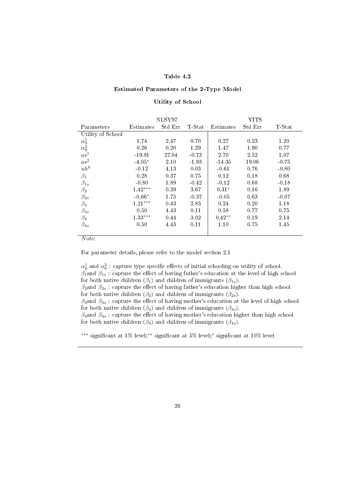#### Estimated Parameters of the 2-Type Model

#### Utility of School

|                                                              |           | NLSY97  |           |           | YITS    |         |
|--------------------------------------------------------------|-----------|---------|-----------|-----------|---------|---------|
| Parameters                                                   | Estimates | Std Err | $T$ -Stat | Estimates | Std Err | T-Stat  |
| Utility of School                                            |           |         |           |           |         |         |
| $\begin{matrix} \alpha_0^1\\ \alpha_0^2\\ as^1 \end{matrix}$ | 1.74      | 2.47    | 0.70      | 0.27      | 0.23    | 1.20    |
|                                                              | 0.26      | 0.20    | 1.29      | 1.47      | 1.90    | 0.77    |
|                                                              | $-19.81$  | 27.04   | $-0.73$   | 2.70      | 2.52    | 1.07    |
| $as^2$                                                       | $-4.05*$  | 2.10    | $-1.93$   | $-14.35$  | 19.06   | $-0.75$ |
| $uh^h$                                                       | $-0.12$   | 4.13    | 0.03      | $-0.61$   | 0.76    | $-0.80$ |
| $\beta_1$                                                    | 0.28      | 0.37    | 0.75      | 0.12      | 0.18    | 0.68    |
| $\beta_{1s}$                                                 | $-0.80$   | 1.89    | $-0.42$   | $-0.12$   | 0.68    | $-0.18$ |
| $\beta_2$                                                    | $1.42***$ | 0.39    | 3.67      | $0.31*$   | 0.16    | 1.89    |
| $\beta_{2s}$                                                 | $-0.66*$  | 1.75    | $-0.37$   | $-0.05$   | 0.63    | $-0.07$ |
| $\beta_3$                                                    | $1.21***$ | 0.43    | 2.83      | 0.24      | 0.20    | 1.18    |
| $\beta_{3s}$                                                 | 0.50      | 4.43    | 0.11      | 0.58      | 0.77    | 0.75    |
| $\beta_4$                                                    | $1.33***$ | 0.44    | 3.02      | $0.42**$  | 0.19    | 2.14    |
| $\beta_{4s}$                                                 | 0.50      | 4.43    | 0.11      | 1.10      | 0.75    | 1.45    |
|                                                              |           |         |           |           |         |         |

Note:

For parameter details, please refer to the model section 2.1

 $\alpha_0^1$  and  $\alpha_0^2$ : capture type specific effects of initial schooling on utility of school.  $\beta_1$ and  $\beta_{1s}$ : capture the effect of having father's education at the level of high school for both native children ( $\beta_1$ ) and children of immigrants ( $\beta_{1s}$ ).  $\beta_2$ and  $\beta_{2s}$ : capture the effect of having father's education higher than high school for both native children ( $\beta_2$ ) and children of immigrants ( $\beta_{2s}$ ).  $\beta_3$ and  $\beta_{3s}$ : capture the effect of having mother's education at the level of high school for both native children ( $\beta_3$ ) and children of immigrants ( $\beta_{3s}$ ).  $\beta_4$ and  $\beta_{4s}$ : capture the effect of having mother's education higher than high school

for both native children ( $\beta_4$ ) and children of immigrants ( $\beta_{4s}$ ).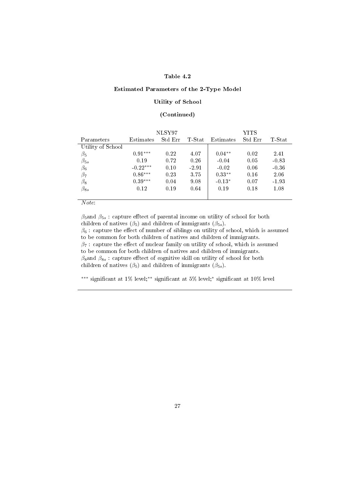#### Estimated Parameters of the 2-Type Model

#### Utility of School

#### (Continued)

|                   |            | NLSY97  |          |           | YITS    |           |
|-------------------|------------|---------|----------|-----------|---------|-----------|
| Parameters        | Estimates  | Std Err | $T-Stat$ | Estimates | Std Err | $T$ -Stat |
| Utility of School |            |         |          |           |         |           |
| $\beta_5$         | $0.91***$  | 0.22    | 4.07     | $0.04**$  | 0.02    | 2.41      |
| $\beta_{5s}$      | 0.19       | 0.72    | 0.26     | $-0.04$   | 0.05    | $-0.83$   |
| $\beta_6$         | $-0.22***$ | 0.10    | $-2.91$  | $-0.02$   | 0.06    | $-0.36$   |
| $\beta_7$         | $0.86***$  | 0.23    | 3.75     | $0.33**$  | 0.16    | 2.06      |
| $\beta_8$         | $0.39***$  | 0.04    | 9.08     | $-0.13*$  | 0.07    | $-1.93$   |
| $\beta_{8s}$      | 0.12       | 0.19    | 0.64     | 0.19      | 0.18    | 1.08      |
|                   |            |         |          |           |         |           |

#### Note:

 $\beta_5$ and  $\beta_{5s}$ : capture efftect of parental income on utility of school for both children of natives  $(\beta_5)$  and children of immigrants  $(\beta_{5s})$ .  $\beta_6$  : capture the effect of number of siblings on utility of school, which is assumed to be common for both children of natives and children of immigrants.  $\beta_7$ : capture the effect of nuclear family on utility of school, which is assumed to be common for both children of natives and children of immigrants.  $\beta_8$ and  $\beta_{8s}$ : capture efftect of cognitive skill on utility of school for both children of natives ( $\beta_5$ ) and children of immigrants ( $\beta_{5s}$ ).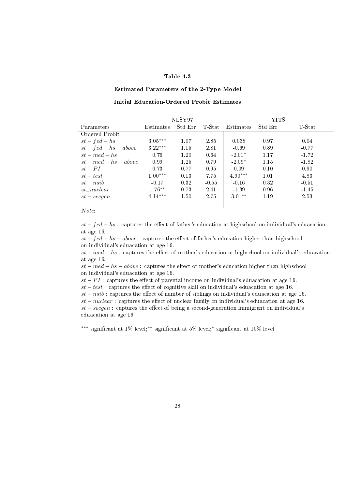#### Estimated Parameters of the 2-Type Model

#### Initial Education-Ordered Probit Estimates

|                         |           | NLSY97  |         |           | YITS    |          |
|-------------------------|-----------|---------|---------|-----------|---------|----------|
| Parameters              | Estimates | Std Err | T-Stat  | Estimates | Std Err | $T-Stat$ |
| Ordered Probit          |           |         |         |           |         |          |
| $st - fed - hs$         | $3.05***$ | 1.07    | 2.85    | 0.038     | 0.97    | 0.04     |
| $st - fed - hs - above$ | $3.22***$ | 1.15    | 2.81    | $-0.69$   | 0.89    | $-0.77$  |
| $st - med - hs$         | 0.76      | 1.20    | 0.64    | $-2.01*$  | 1.17    | $-1.72$  |
| $st - med - hs - above$ | 0.99      | 1.25    | 0.79    | $-2.09*$  | 1.15    | $-1.82$  |
| $st - PI$               | 0.73      | 0.77    | 0.95    | 0.09      | 0.10    | 0.90     |
| $st-test$               | $1.00***$ | 0.13    | 7.75    | $4.90***$ | 1.01    | 4.83     |
| $st - nsib$             | $-0.17$   | 0.32    | $-0.55$ | $-0.16$   | 0.32    | $-0.51$  |
| $st\_nuclear$           | $1.76***$ | 0.73    | 2.41    | $-1.39$   | 0.96    | $-1.45$  |
| $st-secgen$             | $4.14***$ | 1.50    | 2.75    | $3.01**$  | 1.19    | 2.53     |
|                         |           |         |         |           |         |          |

#### Note:

 $st - fed - hs$ : captures the effect of father's education at highschool on individual's eduacation at age 16.

 $st - fed - hs - above:$  captures the effect of father's education higher than highschool on individual's eduacation at age 16.

 $st - med - hs$ : captures the effect of mother's education at highschool on individual's eduacation at age 16.

 $st - med - hs - above:$  captures the effect of mother's education higher than highschool on individual's eduacation at age 16.

 $st - PI$ : captures the effect of parental income on individual's eduacation at age 16.

 $st-test$  : captures the effect of cognitive skill on individual's eduacation at age 16.

 $st - nsib$ : captures the effect of number of siblings on individual's eduacation at age 16.

 $st-nuclear:$  captures the effect of nuclear family on individual's eduacation at age 16.  $st - seegen$ : captures the effect of being a second-generation immigrant on individual's eduacation at age 16.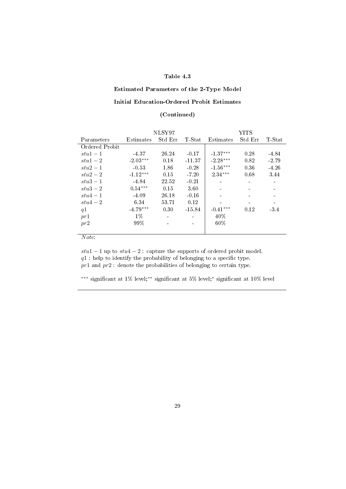#### Estimated Parameters of the 2-Type Model

#### Initial Education-Ordered Probit Estimates

#### (Continued)

|                | NLSY97     |         |          | YITS       |         |         |  |
|----------------|------------|---------|----------|------------|---------|---------|--|
| Parameters     | Estimates  | Std Err | T-Stat   | Estimates  | Std Err | T-Stat  |  |
| Ordered Probit |            |         |          |            |         |         |  |
| $stu1-1$       | -4.37      | 26.24   | $-0.17$  | $-1.37***$ | 0.28    | -4.84   |  |
| $stu1-2$       | $-2.03***$ | 0.18    | $-11.37$ | $-2.28***$ | 0.82    | $-2.79$ |  |
| $stu2-1$       | $-0.53$    | 1.86    | $-0.28$  | $-1.56***$ | 0.36    | $-4.26$ |  |
| $stu2-2$       | $-1.12***$ | 0.15    | $-7.20$  | $2.34***$  | 0.68    | 3.44    |  |
| $stu3-1$       | -4.84      | 22.52   | $-0.21$  |            |         |         |  |
| $stu3-2$       | $0.54***$  | 0.15    | 3.60     |            |         |         |  |
| $stu4-1$       | $-4.09$    | 26.18   | $-0.16$  |            |         |         |  |
| $stu4-2$       | 6.34       | 53.71   | 0.12     |            |         |         |  |
| q1             | $-4.79***$ | 0.30    | $-15.84$ | $-0.41***$ | 0.12    | -3.4    |  |
| pr1            | $1\%$      |         |          | $40\%$     |         |         |  |
| pr2            | 99%        |         |          | 60%        |         |         |  |
|                |            |         |          |            |         |         |  |

Note:

 $stu1 - 1$  up to  $stu4 - 2$ : capture the supports of ordered probit model.  $q1$ : help to identify the probability of belonging to a specific type.  $pr1$  and  $pr2$ : denote the probabilities of belonging to certain type.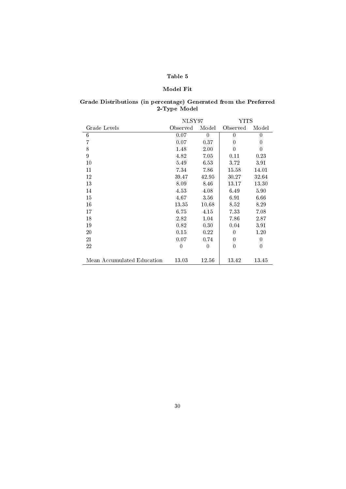#### Model Fit

# Grade Distributions (in percentage) Generated from the Preferred 2-Type Model

|                            | NLSY97   |          | YITS     |                  |
|----------------------------|----------|----------|----------|------------------|
| Grade Levels               | Observed | Model    | Observed | Model            |
| 6                          | 0.07     | $\theta$ | $\Omega$ | $\theta$         |
| 7                          | 0.07     | 0.37     | $\Omega$ | $\theta$         |
| 8                          | 1.48     | 2.00     | 0        | 0                |
| 9                          | 4.82     | 7.05     | 0.11     | 0.23             |
| 10                         | 5.49     | 6.53     | 3.72     | 3.91             |
| 11                         | 7.34     | 7.86     | 15.58    | 14.01            |
| 12                         | 39.47    | 42.95    | 30.27    | 32.64            |
| 13                         | 8.09     | 8.46     | 13.17    | 13.30            |
| 14                         | 4.53     | 4.08     | 6.49     | 5.90             |
| 15                         | 4.67     | 3.56     | 6.91     | 6.66             |
| 16                         | 13.35    | 10.68    | 8.52     | 8.29             |
| 17                         | 6.75     | 4.15     | 7.33     | 7.08             |
| 18                         | 2.82     | 1.04     | 7.86     | 2.87             |
| 19                         | 0.82     | 0.30     | 0.04     | 3.91             |
| 20                         | 0.15     | 0.22     | 0        | 1.20             |
| 21                         | 0.07     | 0.74     | 0        | $\boldsymbol{0}$ |
| 22                         | $\Omega$ | 0        | 0        | $\theta$         |
|                            |          |          |          |                  |
| Mean Accumulated Education | 13.03    | 12.56    | 13.42    | 13.45            |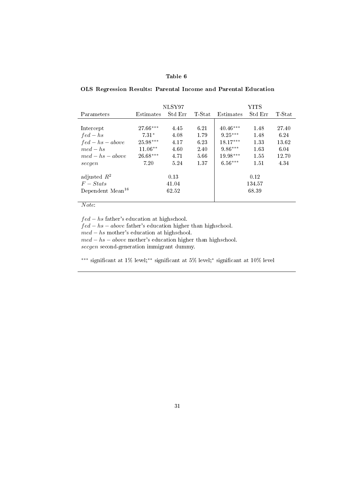#### OLS Regression Results: Parental Income and Parental Education

|                              |            | NLSY97  |        |            | YITS    |        |
|------------------------------|------------|---------|--------|------------|---------|--------|
| Parameters                   | Estimates  | Std Err | T-Stat | Estimates  | Std Err | T-Stat |
|                              |            |         |        |            |         |        |
| Intercept                    | $27.66***$ | 4.45    | 6.21   | $40.46***$ | 1.48    | 27.40  |
| $fed - hs$                   | $7.31*$    | 4.08    | 1.79   | $9.25***$  | 1.48    | 6.24   |
| $fed - hs - above$           | $25.98***$ | 4.17    | 6.23   | $18.17***$ | 1.33    | 13.62  |
| $med - hs$                   | $11.06**$  | 4.60    | 2.40   | $9.86***$  | 1.63    | 6.04   |
| $med - hs - above$           | $26.68***$ | 4.71    | 5.66   | $19.98***$ | 1.55    | 12.70  |
| secgen                       | 7.20       | 5.24    | 1.37   | $6.56***$  | 1.51    | 4.34   |
| adjusted $R^2$               |            | 0.13    |        |            | 0.12    |        |
| $F - \mathit{Stats}$         |            | 41.04   |        |            | 134.57  |        |
| Dependent Mean <sup>16</sup> |            | 62.52   |        |            | 68.39   |        |
|                              |            |         |        |            |         |        |

#### Note:

 $\overline{a}$ 

 $fed - hs$  father's education at highschool.  $fed - hs - above$  father's education higher than highschool.  $med - hs$  mother's education at highschool.  $med - hs - above$  mother's education higher than highschool. secgen second-generation immigrant dummy.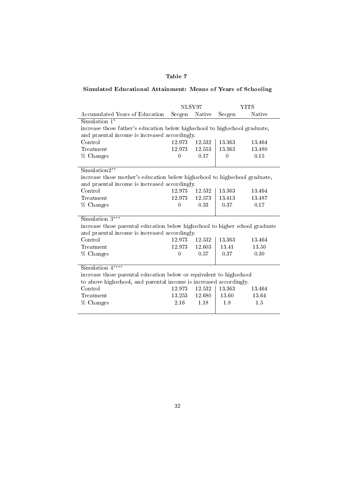# Simulated Educational Attainment: Means of Years of Schooling

|                                                                              | NLSY97                                                                     |        |          | <b>YITS</b> |  |  |  |  |
|------------------------------------------------------------------------------|----------------------------------------------------------------------------|--------|----------|-------------|--|--|--|--|
| Accumulated Years of Education                                               | Secgen                                                                     | Native | Secgen   | Native      |  |  |  |  |
| Simulation 1*                                                                |                                                                            |        |          |             |  |  |  |  |
|                                                                              | increase those father's education below highschool to highschool graduate, |        |          |             |  |  |  |  |
| and praental income is increased accordingly.                                |                                                                            |        |          |             |  |  |  |  |
| Control                                                                      | 12.973                                                                     | 12.532 | 13.363   | 13.464      |  |  |  |  |
| Treatment                                                                    | 12.973                                                                     | 12.553 | 13.363   | 13.480      |  |  |  |  |
| % Changes                                                                    | $\theta$                                                                   | 0.17   | $\theta$ | 0.15        |  |  |  |  |
|                                                                              |                                                                            |        |          |             |  |  |  |  |
| Simulation2**                                                                |                                                                            |        |          |             |  |  |  |  |
| increase those mother's education below highschool to highschool graduate,   |                                                                            |        |          |             |  |  |  |  |
| and praental income is increased accordingly.                                |                                                                            |        |          |             |  |  |  |  |
| Control                                                                      | 12.973                                                                     | 12.532 | 13.363   | 13.464      |  |  |  |  |
| Treatment                                                                    | 12.973                                                                     | 12573  | 13.413   | 13.487      |  |  |  |  |
| % Changes                                                                    | $\theta$                                                                   | 0.33   | 0.37     | 0.17        |  |  |  |  |
|                                                                              |                                                                            |        |          |             |  |  |  |  |
| Simulation $3***$                                                            |                                                                            |        |          |             |  |  |  |  |
| increase those parental education below highschool to higher school graduate |                                                                            |        |          |             |  |  |  |  |
| and praental income is increased accordingly.                                |                                                                            |        |          |             |  |  |  |  |
| Control                                                                      | 12.973                                                                     | 12.532 | 13.363   | 13.464      |  |  |  |  |
| Treatment                                                                    | 12.973                                                                     | 12.603 | 13.41    | 13.50       |  |  |  |  |
| % Changes                                                                    | $\theta$                                                                   | 0.57   | 0.37     | 0.30        |  |  |  |  |
|                                                                              |                                                                            |        |          |             |  |  |  |  |
| Simulation $4***$                                                            |                                                                            |        |          |             |  |  |  |  |
| increase those parental education below or equivalent to highschool          |                                                                            |        |          |             |  |  |  |  |
| to above highschool, and parental income is increased accordingly.           |                                                                            |        |          |             |  |  |  |  |
| Control                                                                      | 12.973                                                                     | 12.532 | 13.363   | 13.464      |  |  |  |  |
| Treatment                                                                    | 13.253                                                                     | 12.680 | 13.60    | 13.64       |  |  |  |  |
| % Changes                                                                    | 2.16                                                                       | 1.18   | 1.8      | 1.5         |  |  |  |  |
|                                                                              |                                                                            |        |          |             |  |  |  |  |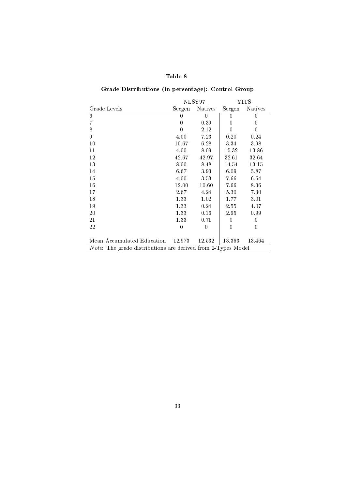# Grade Distributions (in persentage): Control Group

|                                                                     |          | NLSY97         | YITS     |                |  |  |  |  |
|---------------------------------------------------------------------|----------|----------------|----------|----------------|--|--|--|--|
| Grade Levels                                                        | Secgen   | <b>Natives</b> | Secgen   | <b>Natives</b> |  |  |  |  |
| 6                                                                   | 0        | $\overline{0}$ | 0        | 0              |  |  |  |  |
| 7                                                                   | $\Omega$ | 0.39           | 0        | $\theta$       |  |  |  |  |
| 8                                                                   | $\theta$ | 2.12           | $\theta$ | $\theta$       |  |  |  |  |
| 9                                                                   | 4.00     | 7.23           | 0.20     | 0.24           |  |  |  |  |
| 10                                                                  | 10.67    | 6.28           | 3.34     | 3.98           |  |  |  |  |
| 11                                                                  | 4.00     | 8.09           | 15.32    | 13.86          |  |  |  |  |
| 12                                                                  | 42.67    | 42.97          | 32.61    | 32.64          |  |  |  |  |
| 13                                                                  | 8.00     | 8.48           | 14.54    | 13.15          |  |  |  |  |
| 14                                                                  | 6.67     | 3.93           | 6.09     | 5.87           |  |  |  |  |
| 15                                                                  | 4.00     | 3.53           | 7.66     | 6.54           |  |  |  |  |
| 16                                                                  | 12.00    | 10.60          | 7.66     | 8.36           |  |  |  |  |
| 17                                                                  | 2.67     | 4.24           | 5.30     | 7.30           |  |  |  |  |
| 18                                                                  | 1.33     | 1.02           | 1.77     | 3.01           |  |  |  |  |
| 19                                                                  | 1.33     | 0.24           | 2.55     | 4.07           |  |  |  |  |
| 20                                                                  | 1.33     | 0.16           | 2.95     | 0.99           |  |  |  |  |
| 21                                                                  | 1.33     | 0.71           | $\theta$ | $\overline{0}$ |  |  |  |  |
| 22                                                                  | $\Omega$ | $\Omega$       | $\Omega$ | 0              |  |  |  |  |
|                                                                     |          |                |          |                |  |  |  |  |
| Mean Accumulated Education 12.973                                   |          | 12 532         | 13.363   | 13.464         |  |  |  |  |
| <i>Note:</i> The grade distributions are derived from 2-Types Model |          |                |          |                |  |  |  |  |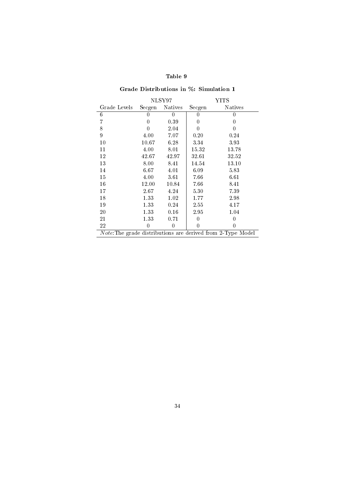|              |        | NLSY97<br>YITS |                  |                                                             |
|--------------|--------|----------------|------------------|-------------------------------------------------------------|
| Grade Levels | Secgen | Natives        | Secgen           | <b>Natives</b>                                              |
| 6            | 0      | $\theta$       | 0                | $\left( \right)$                                            |
| 7            | 0      | 0.39           | $\left( \right)$ | 0                                                           |
| 8            | 0      | 2.04           | 0                | 0                                                           |
| 9            | 4.00   | 7.07           | 0.20             | 0.24                                                        |
| 10           | 10.67  | 6.28           | 3.34             | 3.93                                                        |
| 11           | 4.00   | 8.01           | 15.32            | 13.78                                                       |
| 12           | 42.67  | 42.97          | 32.61            | 32.52                                                       |
| 13           | 8.00   | 8.41           | 14.54            | 13.10                                                       |
| 14           | 6.67   | 4.01           | 6.09             | 5.83                                                        |
| 15           | 4.00   | 3.61           | 7.66             | 6.61                                                        |
| 16           | 12.00  | 10.84          | 7.66             | 8.41                                                        |
| 17           | 2.67   | 4.24           | 5.30             | 7.39                                                        |
| 18           | 1.33   | 1.02           | 1.77             | 2.98                                                        |
| 19           | 1.33   | 0.24           | 2.55             | 4.17                                                        |
| 20           | 1.33   | 0.16           | 2.95             | 1.04                                                        |
| 21           | 1.33   | 0.71           | 0                | 0                                                           |
| 22           | 0      | 0              | 0                | 0                                                           |
|              |        |                |                  | Note: The grade distributions are derived from 2-Type Model |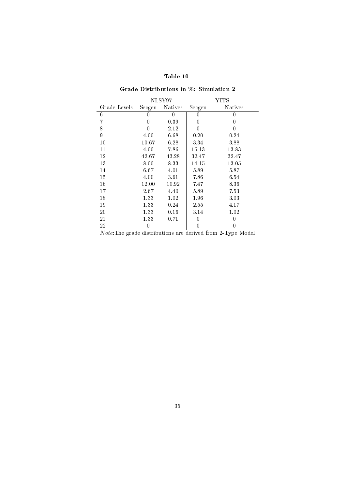|              |        | NLSY97         |                  | YITS                                                        |
|--------------|--------|----------------|------------------|-------------------------------------------------------------|
| Grade Levels | Secgen | <b>Natives</b> | Secgen           | <b>Natives</b>                                              |
| 6            | 0      | 0              | 0                | 0                                                           |
| 7            | 0      | 0.39           | 0                | 0                                                           |
| 8            | 0      | 2.12           | $\left( \right)$ | 0                                                           |
| 9            | 4.00   | 6.68           | 0.20             | 0.24                                                        |
| 10           | 10.67  | 6.28           | 3.34             | 3.88                                                        |
| 11           | 4.00   | 7.86           | 15.13            | 13.83                                                       |
| 12           | 42.67  | 43.28          | 32.47            | 32.47                                                       |
| 13           | 8.00   | 8.33           | 14.15            | 13.05                                                       |
| 14           | 6.67   | 4.01           | 5.89             | 5.87                                                        |
| 15           | 4.00   | 3.61           | 7.86             | 6.54                                                        |
| 16           | 12.00  | 10.92          | 7.47             | 8.36                                                        |
| 17           | 2.67   | 4.40           | 5.89             | 7.53                                                        |
| 18           | 1.33   | 1.02           | 1.96             | 3.03                                                        |
| 19           | 1.33   | 0.24           | 2.55             | 4.17                                                        |
| 20           | 1.33   | 0.16           | 3.14             | 1.02                                                        |
| 21           | 1.33   | 0.71           | 0                | 0                                                           |
| 22           | 0      |                | 0                | 0                                                           |
|              |        |                |                  | Note: The grade distributions are derived from 2-Type Model |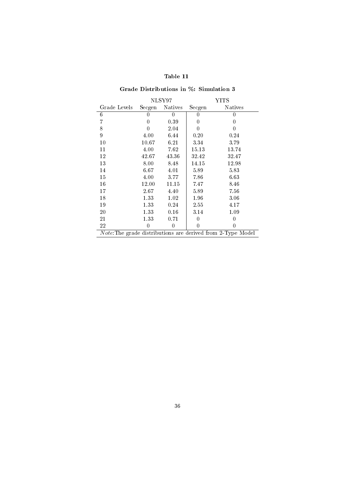|              |          | NLSY97         | YITS     |                                                             |  |
|--------------|----------|----------------|----------|-------------------------------------------------------------|--|
| Grade Levels | Secgen   | <b>Natives</b> | Secgen   | <b>Natives</b>                                              |  |
| 6            | 0        | 0              | O        |                                                             |  |
| 7            | 0        | 0.39           | 0        | $\left( \right)$                                            |  |
| 8            | 0        | 2.04           | 0        | $\left( \right)$                                            |  |
| 9            | 4.00     | 6.44           | 0.20     | 0.24                                                        |  |
| 10           | 10.67    | 6.21           | 3.34     | 3.79                                                        |  |
| 11           | 4.00     | 7.62           | 15.13    | 13.74                                                       |  |
| 12           | 42.67    | 43.36          | 32.42    | 32.47                                                       |  |
| 13           | 8.00     | 8.48           | 14.15    | 12.98                                                       |  |
| 14           | 6.67     | 4.01           | 5.89     | 5.83                                                        |  |
| 15           | 4.00     | 3.77           | 7.86     | 6.63                                                        |  |
| 16           | 12.00    | 11.15          | 7.47     | 8.46                                                        |  |
| 17           | $2.67\,$ | 4.40           | 5.89     | 7.56                                                        |  |
| 18           | 1.33     | 1.02           | 1.96     | 3.06                                                        |  |
| 19           | 1.33     | 0.24           | $2.55\,$ | 4.17                                                        |  |
| 20           | 1.33     | 0.16           | 3.14     | 1.09                                                        |  |
| 21           | 1.33     | 0.71           | 0        | 0                                                           |  |
| 22           | 0        | $\theta$       | 0        | 0                                                           |  |
|              |          |                |          | Note: The grade distributions are derived from 2-Type Model |  |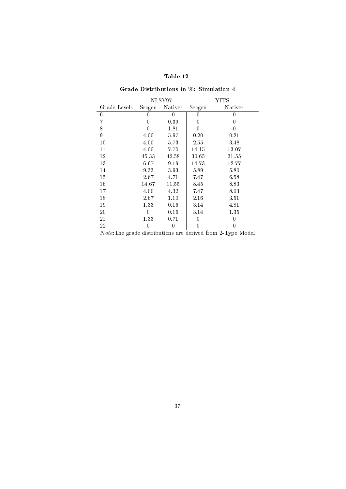|              |        | NLSY97<br>YITS   |          |                                                             |
|--------------|--------|------------------|----------|-------------------------------------------------------------|
| Grade Levels | Secgen | <b>Natives</b>   | Secgen   | <b>Natives</b>                                              |
| 6            | 0      | $\left( \right)$ | 0        | 0                                                           |
| 7            | 0      | 0.39             | 0        | 0                                                           |
| 8            | 0      | 1.81             | 0        | 0                                                           |
| 9            | 4.00   | 5.97             | 0.20     | 0.21                                                        |
| 10           | 4.00   | 5.73             | 2.55     | 3.48                                                        |
| 11           | 4.00   | 7.70             | 14.15    | 13.07                                                       |
| 12           | 45.33  | 42.58            | 30.65    | 31 55                                                       |
| 13           | 6.67   | 9.19             | 14.73    | 12.77                                                       |
| 14           | 9.33   | 3.93             | 5.89     | 5.80                                                        |
| 15           | 2.67   | 4.71             | 7.47     | 6.58                                                        |
| 16           | 14.67  | 11.55            | 8.45     | 8.83                                                        |
| 17           | 4.00   | 4.32             | 7.47     | 8.03                                                        |
| 18           | 2.67   | 1.10             | $2.16\,$ | 3.51                                                        |
| 19           | 1.33   | 0.16             | 3.14     | 4.81                                                        |
| 20           | 0      | 0.16             | 3.14     | 1.35                                                        |
| 21           | 1.33   | 0.71             | 0        | 0                                                           |
| 22           | 0      | $\theta$         | 0        | 0                                                           |
|              |        |                  |          | Note: The grade distributions are derived from 2-Type Model |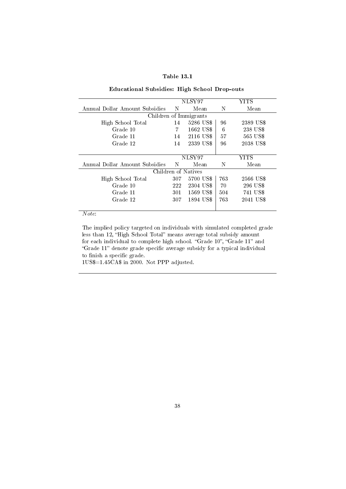| anie |  |
|------|--|
|------|--|

#### Educational Subsidies: High School Drop-outs

|                                |     | NLSY97                 |     | YITS      |
|--------------------------------|-----|------------------------|-----|-----------|
| Annual Dollar Amount Subsidies | N   | Mean                   | N   | Mean      |
|                                |     | Children of Immigrants |     |           |
| High School Total              | 14  | 5286 US\$              | 96  | 2389 US\$ |
| Grade 10                       | 7   | 1662 US\$              | 6   | 238 US\$  |
| Grade 11                       | 14  | 2116 US\$              | 57  | 565 US\$  |
| Grade 12                       | 14  | 2339 US\$              | 96  | 2038 US\$ |
|                                |     |                        |     |           |
|                                |     | NLSY97                 |     | YITS      |
| Annual Dollar Amount Subsidies | N   | Mean                   | N   | Mean      |
|                                |     | Children of Natives    |     |           |
| High School Total              | 307 | 5700 US\$              | 763 | 2566 US\$ |
| Grade 10                       | 222 | 2304 US\$              | 70  | 296 US\$  |
| Grade 11                       | 301 | 1569 US\$              | 504 | 741 US\$  |
| Grade 12                       | 307 | 1894 US\$              | 763 | 2041 US\$ |
|                                |     |                        |     |           |

 $\overline{Note:}$ 

ł,

The implied policy targeted on individuals with simulated completed grade less than 12, "High School Total" means average total subsidy amount for each individual to complete high school. "Grade  $10$ ", "Grade  $11$ " and "Grade 11" denote grade specific average subsidy for a typical individual to finish a specific grade.

1US\$=1.45CA\$ in 2000. Not PPP adjusted.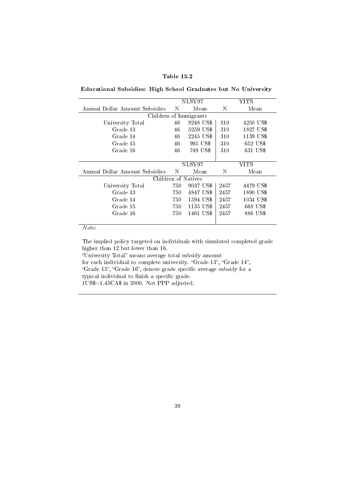#### Table 13.2

Educational Subsidies: High School Graduates but No University

| NLSY97<br>YITS                 |        |                        |      |           |  |  |
|--------------------------------|--------|------------------------|------|-----------|--|--|
| Annual Dollar Amount Subsidies | N      | Mean                   | N    | Mean      |  |  |
|                                |        | Children of Immigrants |      |           |  |  |
| University Total               | 46     | 9248 US\$              | 310  | 4250 US\$ |  |  |
| Grade 13                       | 46     | 5259 US\$              | 310  | 1827 US\$ |  |  |
| Grade 14                       | 46     | 2245 US\$              | 310  | 1139 US\$ |  |  |
| Grade 15                       | 46     | 995 US\$               | 310  | 652 US\$  |  |  |
| Grade 16                       | 46     | 749 US\$               | 310  | 631 US\$  |  |  |
|                                |        |                        |      |           |  |  |
|                                | NLSY97 |                        | YITS |           |  |  |
| Annual Dollar Amount Subsidies | N      | Mean                   | N    | Mean      |  |  |
|                                |        | Children of Natives    |      |           |  |  |
| University Total               | 750    | 9037 US\$              | 2457 | 4479 US\$ |  |  |
| Grade 13                       | 750    | 4847 US\$              | 2457 | 1890 US\$ |  |  |
| Grade 14                       | 750    | 1594 US\$              | 2457 | 1034 US\$ |  |  |
| Grade 15                       | 750    | 1135 US\$              | 2457 | 668 US\$  |  |  |
| Grade 16                       | 750    | 1461 US\$              | 2457 | 886 US\$  |  |  |
|                                |        |                        |      |           |  |  |

 $\overline{Note:}$ 

The implied policy targeted on individuals with simulated completed grade higher than 12 but lower than 16.

"University Total" means average total subsidy amount

for each individual to complete university. "Grade 13", "Grade 14",

"Grade 15", "Grade 16", denote grade specific average subsidy for a typical individual to finish a specific grade.

1US\$=1.45CA\$ in 2000. Not PPP adjusted.